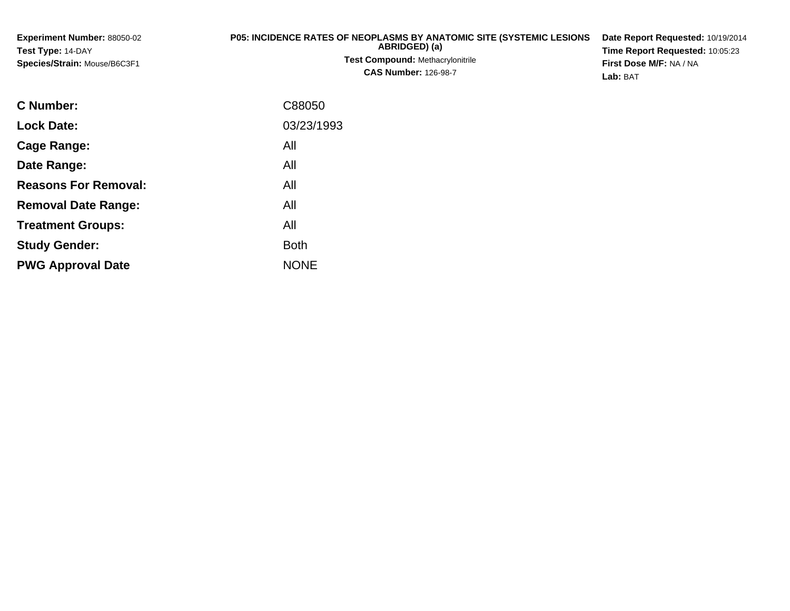| <b>Experiment Number: 88050-02</b><br><b>Test Type: 14-DAY</b><br><b>Species/Strain: Mouse/B6C3F1</b> | <b>P05: INCIDENCE RATES OF NEOPLASMS BY ANATOMIC SITE (SYSTEMIC LESIONS</b><br>ABRIDGED) (a)<br><b>Test Compound: Methacrylonitrile</b><br><b>CAS Number: 126-98-7</b> | Date Report Requested: 10/19/2014<br>Time Report Requested: 10:05:23<br>First Dose M/F: NA / NA<br><b>Lab: BAT</b> |
|-------------------------------------------------------------------------------------------------------|------------------------------------------------------------------------------------------------------------------------------------------------------------------------|--------------------------------------------------------------------------------------------------------------------|
| ----                                                                                                  | -------                                                                                                                                                                |                                                                                                                    |

| C Number:                   | C88050      |
|-----------------------------|-------------|
| <b>Lock Date:</b>           | 03/23/1993  |
| Cage Range:                 | All         |
| Date Range:                 | All         |
| <b>Reasons For Removal:</b> | All         |
| <b>Removal Date Range:</b>  | All         |
| <b>Treatment Groups:</b>    | All         |
| <b>Study Gender:</b>        | <b>Both</b> |
| <b>PWG Approval Date</b>    | <b>NONE</b> |
|                             |             |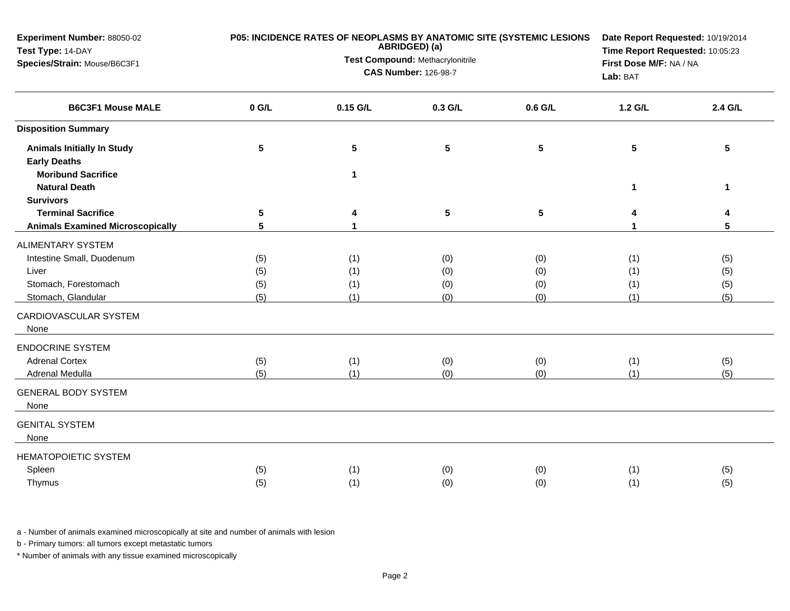| Experiment Number: 88050-02<br>Test Type: 14-DAY<br>Species/Strain: Mouse/B6C3F1         | P05: INCIDENCE RATES OF NEOPLASMS BY ANATOMIC SITE (SYSTEMIC LESIONS<br>ABRIDGED) (a)<br>Test Compound: Methacrylonitrile<br><b>CAS Number: 126-98-7</b> |                 |            |                 | Date Report Requested: 10/19/2014<br>Time Report Requested: 10:05:23<br>First Dose M/F: NA / NA<br>Lab: BAT |            |
|------------------------------------------------------------------------------------------|----------------------------------------------------------------------------------------------------------------------------------------------------------|-----------------|------------|-----------------|-------------------------------------------------------------------------------------------------------------|------------|
| <b>B6C3F1 Mouse MALE</b>                                                                 | $0$ G/L                                                                                                                                                  | 0.15 G/L        | 0.3 G/L    | 0.6 G/L         | 1.2 G/L                                                                                                     | 2.4 G/L    |
| <b>Disposition Summary</b>                                                               |                                                                                                                                                          |                 |            |                 |                                                                                                             |            |
| <b>Animals Initially In Study</b><br><b>Early Deaths</b>                                 | $5\phantom{.0}$                                                                                                                                          | $5\phantom{.0}$ | 5          | 5               | $5\phantom{.0}$                                                                                             | 5          |
| <b>Moribund Sacrifice</b><br><b>Natural Death</b>                                        |                                                                                                                                                          | $\mathbf 1$     |            |                 | 1                                                                                                           | 1          |
| <b>Survivors</b><br><b>Terminal Sacrifice</b><br><b>Animals Examined Microscopically</b> | $5\phantom{.0}$<br>5                                                                                                                                     |                 | 5          | $5\phantom{.0}$ |                                                                                                             | 4<br>5     |
| <b>ALIMENTARY SYSTEM</b>                                                                 |                                                                                                                                                          |                 |            |                 |                                                                                                             |            |
| Intestine Small, Duodenum                                                                | (5)                                                                                                                                                      | (1)             | (0)        | (0)             | (1)                                                                                                         | (5)        |
| Liver                                                                                    | (5)                                                                                                                                                      | (1)             | (0)        | (0)             | (1)                                                                                                         | (5)        |
| Stomach, Forestomach<br>Stomach, Glandular                                               | (5)<br>(5)                                                                                                                                               | (1)<br>(1)      | (0)<br>(0) | (0)<br>(0)      | (1)<br>(1)                                                                                                  | (5)<br>(5) |
| CARDIOVASCULAR SYSTEM<br>None                                                            |                                                                                                                                                          |                 |            |                 |                                                                                                             |            |
| <b>ENDOCRINE SYSTEM</b>                                                                  |                                                                                                                                                          |                 |            |                 |                                                                                                             |            |
| <b>Adrenal Cortex</b>                                                                    | (5)                                                                                                                                                      | (1)             | (0)        | (0)             | (1)                                                                                                         | (5)        |
| Adrenal Medulla                                                                          | (5)                                                                                                                                                      | (1)             | (0)        | (0)             | (1)                                                                                                         | (5)        |
| <b>GENERAL BODY SYSTEM</b><br>None                                                       |                                                                                                                                                          |                 |            |                 |                                                                                                             |            |
| <b>GENITAL SYSTEM</b><br>None                                                            |                                                                                                                                                          |                 |            |                 |                                                                                                             |            |
| <b>HEMATOPOIETIC SYSTEM</b>                                                              |                                                                                                                                                          |                 |            |                 |                                                                                                             |            |
| Spleen                                                                                   | (5)                                                                                                                                                      | (1)             | (0)        | (0)             | (1)                                                                                                         | (5)        |
| Thymus                                                                                   | (5)                                                                                                                                                      | (1)             | (0)        | (0)             | (1)                                                                                                         | (5)        |

b - Primary tumors: all tumors except metastatic tumors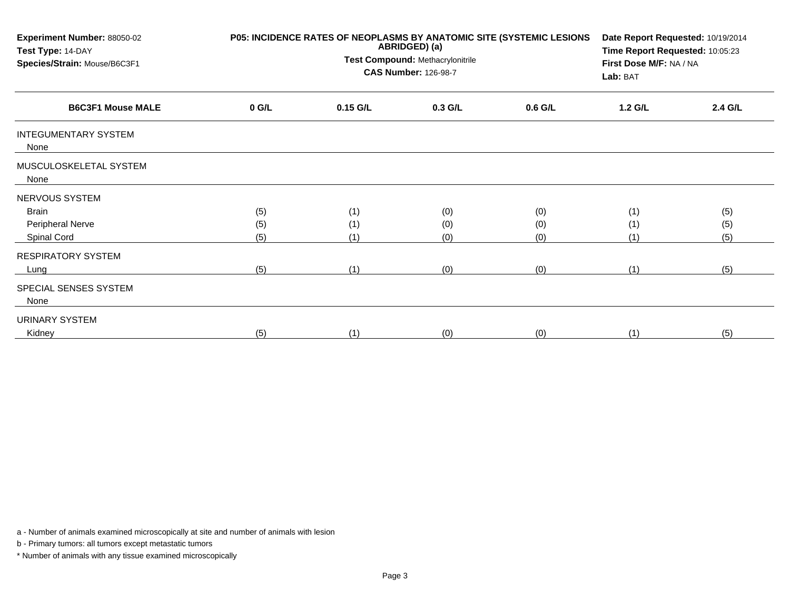| Experiment Number: 88050-02<br>Test Type: 14-DAY<br>Species/Strain: Mouse/B6C3F1 | P05: INCIDENCE RATES OF NEOPLASMS BY ANATOMIC SITE (SYSTEMIC LESIONS | Date Report Requested: 10/19/2014<br>Time Report Requested: 10:05:23<br>First Dose M/F: NA / NA<br>Lab: BAT |           |           |           |         |
|----------------------------------------------------------------------------------|----------------------------------------------------------------------|-------------------------------------------------------------------------------------------------------------|-----------|-----------|-----------|---------|
| <b>B6C3F1 Mouse MALE</b>                                                         | $0$ G/L                                                              | 0.15 G/L                                                                                                    | $0.3$ G/L | $0.6$ G/L | $1.2$ G/L | 2.4 G/L |
| <b>INTEGUMENTARY SYSTEM</b><br>None                                              |                                                                      |                                                                                                             |           |           |           |         |
| MUSCULOSKELETAL SYSTEM<br>None                                                   |                                                                      |                                                                                                             |           |           |           |         |
| NERVOUS SYSTEM                                                                   |                                                                      |                                                                                                             |           |           |           |         |
| Brain                                                                            | (5)                                                                  | (1)                                                                                                         | (0)       | (0)       | (1)       | (5)     |
| Peripheral Nerve                                                                 | (5)                                                                  | (1)                                                                                                         | (0)       | (0)       | (1)       | (5)     |
| Spinal Cord                                                                      | (5)                                                                  | (1)                                                                                                         | (0)       | (0)       | (1)       | (5)     |
| <b>RESPIRATORY SYSTEM</b>                                                        |                                                                      |                                                                                                             |           |           |           |         |
| Lung                                                                             | (5)                                                                  | (1)                                                                                                         | (0)       | (0)       | (1)       | (5)     |
| SPECIAL SENSES SYSTEM<br>None                                                    |                                                                      |                                                                                                             |           |           |           |         |
| URINARY SYSTEM                                                                   |                                                                      |                                                                                                             |           |           |           |         |
| Kidney                                                                           | (5)                                                                  | (1)                                                                                                         | (0)       | (0)       | (1)       | (5)     |

b - Primary tumors: all tumors except metastatic tumors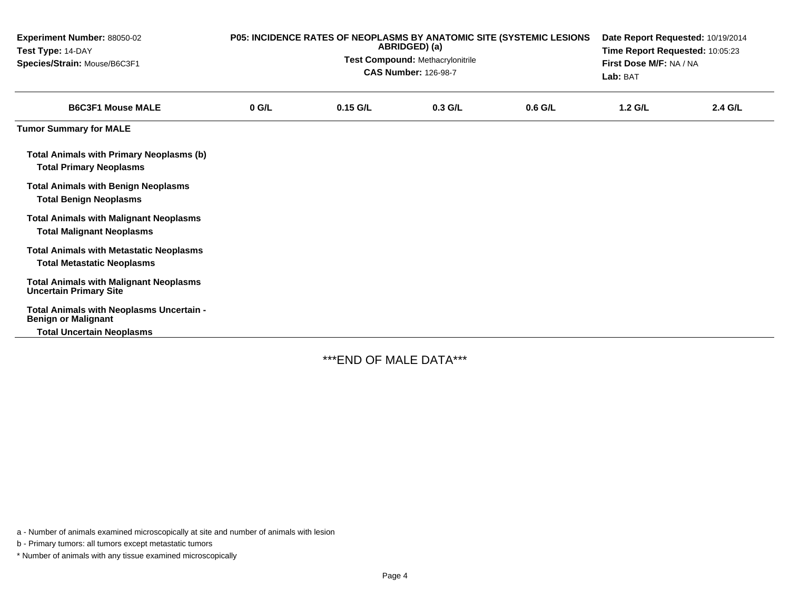| Experiment Number: 88050-02<br>Test Type: 14-DAY<br>Species/Strain: Mouse/B6C3F1    | P05: INCIDENCE RATES OF NEOPLASMS BY ANATOMIC SITE (SYSTEMIC LESIONS<br>ABRIDGED) (a)<br><b>Test Compound: Methacrylonitrile</b><br><b>CAS Number: 126-98-7</b> |            |           |           | Date Report Requested: 10/19/2014<br>Time Report Requested: 10:05:23<br>First Dose M/F: NA / NA<br>Lab: BAT |         |
|-------------------------------------------------------------------------------------|-----------------------------------------------------------------------------------------------------------------------------------------------------------------|------------|-----------|-----------|-------------------------------------------------------------------------------------------------------------|---------|
| <b>B6C3F1 Mouse MALE</b>                                                            | $0$ G/L                                                                                                                                                         | $0.15$ G/L | $0.3$ G/L | $0.6$ G/L | $1.2$ G/L                                                                                                   | 2.4 G/L |
| <b>Tumor Summary for MALE</b>                                                       |                                                                                                                                                                 |            |           |           |                                                                                                             |         |
| <b>Total Animals with Primary Neoplasms (b)</b><br><b>Total Primary Neoplasms</b>   |                                                                                                                                                                 |            |           |           |                                                                                                             |         |
| <b>Total Animals with Benign Neoplasms</b><br><b>Total Benign Neoplasms</b>         |                                                                                                                                                                 |            |           |           |                                                                                                             |         |
| <b>Total Animals with Malignant Neoplasms</b><br><b>Total Malignant Neoplasms</b>   |                                                                                                                                                                 |            |           |           |                                                                                                             |         |
| <b>Total Animals with Metastatic Neoplasms</b><br><b>Total Metastatic Neoplasms</b> |                                                                                                                                                                 |            |           |           |                                                                                                             |         |
| <b>Total Animals with Malignant Neoplasms</b><br><b>Uncertain Primary Site</b>      |                                                                                                                                                                 |            |           |           |                                                                                                             |         |
| Total Animals with Neoplasms Uncertain -<br><b>Benign or Malignant</b>              |                                                                                                                                                                 |            |           |           |                                                                                                             |         |
| <b>Total Uncertain Neoplasms</b>                                                    |                                                                                                                                                                 |            |           |           |                                                                                                             |         |

\*\*\*END OF MALE DATA\*\*\*

a - Number of animals examined microscopically at site and number of animals with lesion

b - Primary tumors: all tumors except metastatic tumors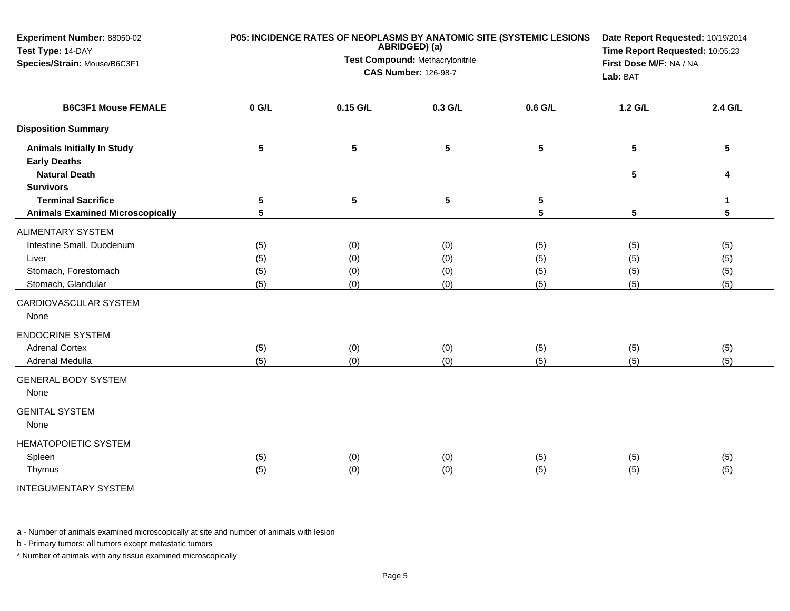| Experiment Number: 88050-02<br>Test Type: 14-DAY<br>Species/Strain: Mouse/B6C3F1 | P05: INCIDENCE RATES OF NEOPLASMS BY ANATOMIC SITE (SYSTEMIC LESIONS | Date Report Requested: 10/19/2014<br>Time Report Requested: 10:05:23<br>First Dose M/F: NA / NA<br>Lab: BAT |         |                 |         |         |
|----------------------------------------------------------------------------------|----------------------------------------------------------------------|-------------------------------------------------------------------------------------------------------------|---------|-----------------|---------|---------|
| <b>B6C3F1 Mouse FEMALE</b>                                                       | $0$ G/L                                                              | 0.15 G/L                                                                                                    | 0.3 G/L | 0.6 G/L         | 1.2 G/L | 2.4 G/L |
| <b>Disposition Summary</b>                                                       |                                                                      |                                                                                                             |         |                 |         |         |
| <b>Animals Initially In Study</b>                                                | $\sqrt{5}$                                                           | $5\phantom{.0}$                                                                                             | 5       | $5\phantom{.0}$ | 5       | 5       |
| <b>Early Deaths</b>                                                              |                                                                      |                                                                                                             |         |                 |         |         |
| <b>Natural Death</b>                                                             |                                                                      |                                                                                                             |         |                 | 5       | 4       |
| <b>Survivors</b><br><b>Terminal Sacrifice</b>                                    | 5                                                                    | $\sqrt{5}$                                                                                                  | 5       | $5\phantom{.0}$ |         | 1       |
| <b>Animals Examined Microscopically</b>                                          | 5                                                                    |                                                                                                             |         | 5               | 5       | 5       |
| <b>ALIMENTARY SYSTEM</b>                                                         |                                                                      |                                                                                                             |         |                 |         |         |
| Intestine Small, Duodenum                                                        | (5)                                                                  | (0)                                                                                                         | (0)     | (5)             | (5)     | (5)     |
| Liver                                                                            | (5)                                                                  | (0)                                                                                                         | (0)     | (5)             | (5)     | (5)     |
| Stomach, Forestomach                                                             | (5)                                                                  | (0)                                                                                                         | (0)     | (5)             | (5)     | (5)     |
| Stomach, Glandular                                                               | (5)                                                                  | (0)                                                                                                         | (0)     | (5)             | (5)     | (5)     |
| CARDIOVASCULAR SYSTEM<br>None                                                    |                                                                      |                                                                                                             |         |                 |         |         |
| <b>ENDOCRINE SYSTEM</b>                                                          |                                                                      |                                                                                                             |         |                 |         |         |
| <b>Adrenal Cortex</b>                                                            | (5)                                                                  | (0)                                                                                                         | (0)     | (5)             | (5)     | (5)     |
| Adrenal Medulla                                                                  | (5)                                                                  | (0)                                                                                                         | (0)     | (5)             | (5)     | (5)     |
| <b>GENERAL BODY SYSTEM</b><br>None                                               |                                                                      |                                                                                                             |         |                 |         |         |
| <b>GENITAL SYSTEM</b>                                                            |                                                                      |                                                                                                             |         |                 |         |         |
| None                                                                             |                                                                      |                                                                                                             |         |                 |         |         |
| <b>HEMATOPOIETIC SYSTEM</b>                                                      |                                                                      |                                                                                                             |         |                 |         |         |
| Spleen                                                                           | (5)                                                                  | (0)                                                                                                         | (0)     | (5)             | (5)     | (5)     |
| Thymus                                                                           | (5)                                                                  | (0)                                                                                                         | (0)     | (5)             | (5)     | (5)     |
| <b>INTEGUMENTARY SYSTEM</b>                                                      |                                                                      |                                                                                                             |         |                 |         |         |

b - Primary tumors: all tumors except metastatic tumors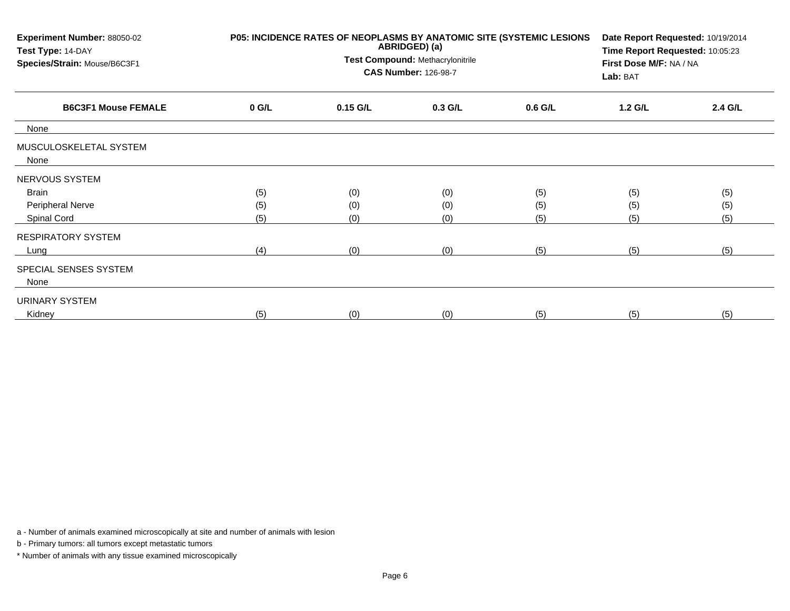| Experiment Number: 88050-02<br>Test Type: 14-DAY<br>Species/Strain: Mouse/B6C3F1 |         | P05: INCIDENCE RATES OF NEOPLASMS BY ANATOMIC SITE (SYSTEMIC LESIONS<br>ABRIDGED) (a)<br>Test Compound: Methacrylonitrile<br><b>CAS Number: 126-98-7</b> | Date Report Requested: 10/19/2014<br>Time Report Requested: 10:05:23<br>First Dose M/F: NA / NA<br>Lab: BAT |           |         |         |
|----------------------------------------------------------------------------------|---------|----------------------------------------------------------------------------------------------------------------------------------------------------------|-------------------------------------------------------------------------------------------------------------|-----------|---------|---------|
| <b>B6C3F1 Mouse FEMALE</b>                                                       | $0$ G/L | $0.15$ G/L                                                                                                                                               | $0.3$ G/L                                                                                                   | $0.6$ G/L | 1.2 G/L | 2.4 G/L |
| None                                                                             |         |                                                                                                                                                          |                                                                                                             |           |         |         |
| MUSCULOSKELETAL SYSTEM<br>None                                                   |         |                                                                                                                                                          |                                                                                                             |           |         |         |
| NERVOUS SYSTEM                                                                   |         |                                                                                                                                                          |                                                                                                             |           |         |         |
| Brain                                                                            | (5)     | (0)                                                                                                                                                      | (0)                                                                                                         | (5)       | (5)     | (5)     |
| Peripheral Nerve                                                                 | (5)     | (0)                                                                                                                                                      | (0)                                                                                                         | (5)       | (5)     | (5)     |
| Spinal Cord                                                                      | (5)     | (0)                                                                                                                                                      | (0)                                                                                                         | (5)       | (5)     | (5)     |
| <b>RESPIRATORY SYSTEM</b>                                                        |         |                                                                                                                                                          |                                                                                                             |           |         |         |
| Lung                                                                             | (4)     | (0)                                                                                                                                                      | (0)                                                                                                         | (5)       | (5)     | (5)     |
| SPECIAL SENSES SYSTEM<br>None                                                    |         |                                                                                                                                                          |                                                                                                             |           |         |         |
| URINARY SYSTEM                                                                   |         |                                                                                                                                                          |                                                                                                             |           |         |         |
| Kidney                                                                           | (5)     | (0)                                                                                                                                                      | (0)                                                                                                         | (5)       | (5)     | (5)     |

b - Primary tumors: all tumors except metastatic tumors